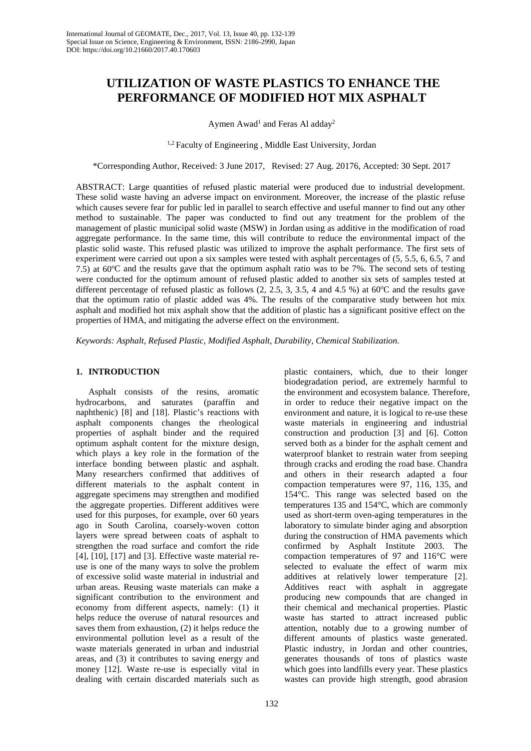# **UTILIZATION OF WASTE PLASTICS TO ENHANCE THE PERFORMANCE OF MODIFIED HOT MIX ASPHALT**

Aymen Awad<sup>1</sup> and Feras Al adday<sup>2</sup>

<sup>1,2</sup> Faculty of Engineering, Middle East University, Jordan

\*Corresponding Author, Received: 3 June 2017, Revised: 27 Aug. 20176, Accepted: 30 Sept. 2017

ABSTRACT: Large quantities of refused plastic material were produced due to industrial development. These solid waste having an adverse impact on environment. Moreover, the increase of the plastic refuse which causes severe fear for public led in parallel to search effective and useful manner to find out any other method to sustainable. The paper was conducted to find out any treatment for the problem of the management of plastic municipal solid waste (MSW) in Jordan using as additive in the modification of road aggregate performance. In the same time, this will contribute to reduce the environmental impact of the plastic solid waste. This refused plastic was utilized to improve the asphalt performance. The first sets of experiment were carried out upon a six samples were tested with asphalt percentages of (5, 5.5, 6, 6.5, 7 and 7.5) at  $60^{\circ}$ C and the results gave that the optimum asphalt ratio was to be 7%. The second sets of testing were conducted for the optimum amount of refused plastic added to another six sets of samples tested at different percentage of refused plastic as follows  $(2, 2.5, 3, 3.5, 4 \text{ and } 4.5 \%)$  at 60°C and the results gave that the optimum ratio of plastic added was 4%. The results of the comparative study between hot mix asphalt and modified hot mix asphalt show that the addition of plastic has a significant positive effect on the properties of HMA, and mitigating the adverse effect on the environment.

*Keywords: Asphalt, Refused Plastic, Modified Asphalt, Durability, Chemical Stabilization.*

# **1. INTRODUCTION**

Asphalt consists of the resins, aromatic hydrocarbons, and saturates (paraffin and naphthenic) [8] and [18]. Plastic's reactions with asphalt components changes the rheological properties of asphalt binder and the required optimum asphalt content for the mixture design, which plays a key role in the formation of the interface bonding between plastic and asphalt. Many researchers confirmed that additives of different materials to the asphalt content in aggregate specimens may strengthen and modified the aggregate properties. Different additives were used for this purposes, for example, over 60 years ago in South Carolina, coarsely-woven cotton layers were spread between coats of asphalt to strengthen the road surface and comfort the ride [4], [10], [17] and [3]. Effective waste material reuse is one of the many ways to solve the problem of excessive solid waste material in industrial and urban areas. Reusing waste materials can make a significant contribution to the environment and economy from different aspects, namely: (1) it helps reduce the overuse of natural resources and saves them from exhaustion, (2) it helps reduce the environmental pollution level as a result of the waste materials generated in urban and industrial areas, and (3) it contributes to saving energy and money [12]. Waste re-use is especially vital in dealing with certain discarded materials such as

plastic containers, which, due to their longer biodegradation period, are extremely harmful to the environment and ecosystem balance. Therefore, in order to reduce their negative impact on the environment and nature, it is logical to re-use these waste materials in engineering and industrial construction and production [3] and [6]. Cotton served both as a binder for the asphalt cement and waterproof blanket to restrain water from seeping through cracks and eroding the road base. Chandra and others in their research adapted a four compaction temperatures were 97, 116, 135, and 154°C. This range was selected based on the temperatures 135 and 154°C, which are commonly used as short-term oven-aging temperatures in the laboratory to simulate binder aging and absorption during the construction of HMA pavements which confirmed by Asphalt Institute 2003. The compaction temperatures of 97 and 116°C were selected to evaluate the effect of warm mix additives at relatively lower temperature [2]. Additives react with asphalt in aggregate producing new compounds that are changed in their chemical and mechanical properties. Plastic waste has started to attract increased public attention, notably due to a growing number of different amounts of plastics waste generated. Plastic industry, in Jordan and other countries, generates thousands of tons of plastics waste which goes into landfills every year. These plastics wastes can provide high strength, good abrasion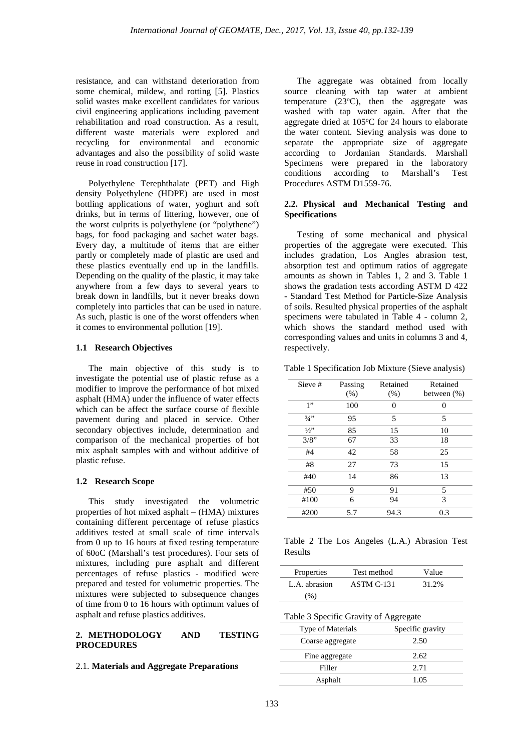resistance, and can withstand deterioration from some chemical, mildew, and rotting [5]. Plastics solid wastes make excellent candidates for various civil engineering applications including pavement rehabilitation and road construction. As a result, different waste materials were explored and recycling for environmental and economic advantages and also the possibility of solid waste reuse in road construction [17].

Polyethylene Terephthalate (PET) and High density Polyethylene (HDPE) are used in most bottling applications of water, yoghurt and soft drinks, but in terms of littering, however, one of the worst culprits is polyethylene (or "polythene") bags, for food packaging and sachet water bags. Every day, a multitude of items that are either partly or completely made of plastic are used and these plastics eventually end up in the landfills. Depending on the quality of the plastic, it may take anywhere from a few days to several years to break down in landfills, but it never breaks down completely into particles that can be used in nature. As such, plastic is one of the worst offenders when it comes to environmental pollution [19].

## **1.1 Research Objectives**

The main objective of this study is to investigate the potential use of plastic refuse as a modifier to improve the performance of hot mixed asphalt (HMA) under the influence of water effects which can be affect the surface course of flexible pavement during and placed in service. Other secondary objectives include, determination and comparison of the mechanical properties of hot mix asphalt samples with and without additive of plastic refuse.

#### **1.2 Research Scope**

This study investigated the volumetric properties of hot mixed asphalt – (HMA) mixtures containing different percentage of refuse plastics additives tested at small scale of time intervals from 0 up to 16 hours at fixed testing temperature of 60oC (Marshall's test procedures). Four sets of mixtures, including pure asphalt and different percentages of refuse plastics - modified were prepared and tested for volumetric properties. The mixtures were subjected to subsequence changes of time from 0 to 16 hours with optimum values of asphalt and refuse plastics additives.

## **2. METHODOLOGY AND TESTING PROCEDURES**

## 2.1. **Materials and Aggregate Preparations**

The aggregate was obtained from locally source cleaning with tap water at ambient temperature  $(23^{\circ}C)$ , then the aggregate was washed with tap water again. After that the aggregate dried at 105°C for 24 hours to elaborate the water content. Sieving analysis was done to separate the appropriate size of aggregate according to Jordanian Standards. Marshall Specimens were prepared in the laboratory<br>conditions according to Marshall's Test  $conditions$   $according$  to Procedures ASTM D1559-76.

# **2.2. Physical and Mechanical Testing and Specifications**

Testing of some mechanical and physical properties of the aggregate were executed. This includes gradation, Los Angles abrasion test, absorption test and optimum ratios of aggregate amounts as shown in Tables 1, 2 and 3. Table 1 shows the gradation tests according ASTM D 422 - Standard Test Method for Particle-Size Analysis of soils. Resulted physical properties of the asphalt specimens were tabulated in Table 4 - column 2, which shows the standard method used with corresponding values and units in columns 3 and 4, respectively.

Table 1 Specification Job Mixture (Sieve analysis)

| Sieve # | Passing<br>(% ) | Retained<br>(% ) | Retained<br>between $(\%)$ |
|---------|-----------------|------------------|----------------------------|
| 1"      | 100             | 0                | 0                          |
| $3/4$ " | 95              | 5                | 5                          |
| $1/2$ " | 85              | 15               | 10                         |
| 3/8"    | 67              | 33               | 18                         |
| #4      | 42              | 58               | 25                         |
| #8      | 27              | 73               | 15                         |
| #40     | 14              | 86               | 13                         |
| #50     | 9               | 91               | 5                          |
| #100    | 6               | 94               | 3                          |
| #200    | 5.7             | 94.3             | 0.3                        |

Table 2 The Los Angeles (L.A.) Abrasion Test Results

| Properties    | Test method | Value |
|---------------|-------------|-------|
| L.A. abrasion | ASTM C-131  | 31.2% |
| (% )          |             |       |

|  |  |  |  | Table 3 Specific Gravity of Aggregate |
|--|--|--|--|---------------------------------------|
|--|--|--|--|---------------------------------------|

| <b>Type of Materials</b> | Specific gravity |  |  |
|--------------------------|------------------|--|--|
| Coarse aggregate         | 2.50             |  |  |
| Fine aggregate           | 2.62             |  |  |
| Filler                   | 2.71             |  |  |
| Asphalt                  | 1.05             |  |  |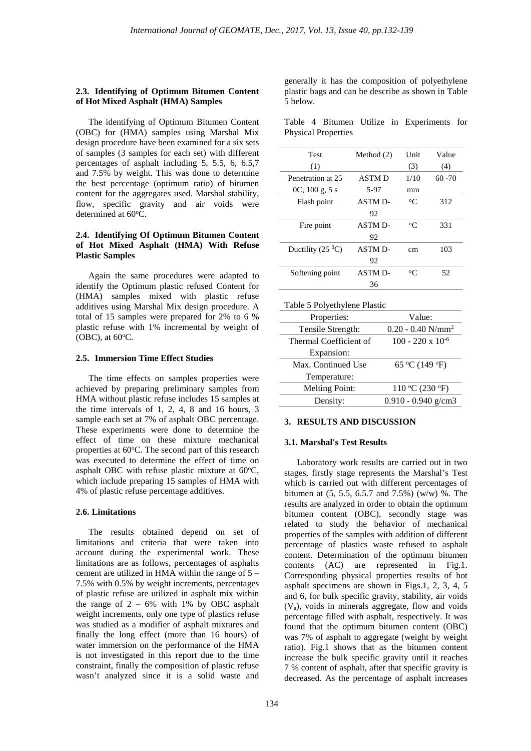## **2.3. Identifying of Optimum Bitumen Content of Hot Mixed Asphalt (HMA) Samples**

The identifying of Optimum Bitumen Content (OBC) for (HMA) samples using Marshal Mix design procedure have been examined for a six sets of samples (3 samples for each set) with different percentages of asphalt including 5, 5.5, 6, 6.5,7 and 7.5% by weight. This was done to determine the best percentage (optimum ratio) of bitumen content for the aggregates used. Marshal stability, flow, specific gravity and air voids were determined at 60°C.

# **2.4. Identifying Of Optimum Bitumen Content of Hot Mixed Asphalt (HMA) With Refuse Plastic Samples**

Again the same procedures were adapted to identify the Optimum plastic refused Content for (HMA) samples mixed with plastic refuse additives using Marshal Mix design procedure. A total of 15 samples were prepared for 2% to 6 % plastic refuse with 1% incremental by weight of  $(OBC)$ , at  $60^{\circ}$ C.

## **2.5. Immersion Time Effect Studies**

The time effects on samples properties were achieved by preparing preliminary samples from HMA without plastic refuse includes 15 samples at the time intervals of 1, 2, 4, 8 and 16 hours, 3 sample each set at 7% of asphalt OBC percentage. These experiments were done to determine the effect of time on these mixture mechanical properties at 60°C. The second part of this research was executed to determine the effect of time on asphalt OBC with refuse plastic mixture at 60°C, which include preparing 15 samples of HMA with 4% of plastic refuse percentage additives.

#### **2.6. Limitations**

The results obtained depend on set of limitations and criteria that were taken into account during the experimental work. These limitations are as follows, percentages of asphalts cement are utilized in HMA within the range of 5 – 7.5% with 0.5% by weight increments, percentages of plastic refuse are utilized in asphalt mix within the range of  $2 - 6\%$  with 1% by OBC asphalt weight increments, only one type of plastics refuse was studied as a modifier of asphalt mixtures and finally the long effect (more than 16 hours) of water immersion on the performance of the HMA is not investigated in this report due to the time constraint, finally the composition of plastic refuse wasn't analyzed since it is a solid waste and

generally it has the composition of polyethylene plastic bags and can be describe as shown in Table 5 below.

|  |                            |  | Table 4 Bitumen Utilize in Experiments for |  |
|--|----------------------------|--|--------------------------------------------|--|
|  | <b>Physical Properties</b> |  |                                            |  |

| Test                       | Method $(2)$   | <b>Unit</b> | Value     |
|----------------------------|----------------|-------------|-----------|
| (1)                        |                | (3)         | (4)       |
| Penetration at 25          | <b>ASTMD</b>   | 1/10        | $60 - 70$ |
| $0C$ , $100 g$ , $5 s$     | 5-97           | mm          |           |
| Flash point                | ASTM D-        | $\rm ^{o}C$ | 312       |
|                            | 92             |             |           |
| Fire point                 | ASTM D-        | $\rm ^{o}C$ | 331       |
|                            | 92             |             |           |
| Ductility $(25\text{ °C})$ | ASTM D-        | cm          | 103       |
|                            | 92             |             |           |
| Softening point            | <b>ASTM D-</b> | $\rm ^{o}C$ | 52        |
|                            | 36             |             |           |
|                            |                |             |           |

| Table 5 Polyethylene Plastic |                                 |  |  |
|------------------------------|---------------------------------|--|--|
| Properties:                  | Value:                          |  |  |
| Tensile Strength:            | $0.20 - 0.40$ N/mm <sup>2</sup> |  |  |
| Thermal Coefficient of       | $100 - 220 \times 10^{-6}$      |  |  |
| Expansion:                   |                                 |  |  |
| Max. Continued Use           | 65 °C (149 °F)                  |  |  |
| Temperature:                 |                                 |  |  |
| <b>Melting Point:</b>        | 110 °C (230 °F)                 |  |  |
| Density:                     | $0.910 - 0.940$ g/cm3           |  |  |

#### **3. RESULTS AND DISCUSSION**

#### **3.1. Marshal's Test Results**

Laboratory work results are carried out in two stages, firstly stage represents the Marshal's Test which is carried out with different percentages of bitumen at (5, 5.5, 6.5.7 and 7.5%) (w/w) %. The results are analyzed in order to obtain the optimum bitumen content (OBC), secondly stage was related to study the behavior of mechanical properties of the samples with addition of different percentage of plastics waste refused to asphalt content. Determination of the optimum bitumen contents (AC) are represented in Fig.1. Corresponding physical properties results of hot asphalt specimens are shown in Figs.1, 2, 3, 4, 5 and 6, for bulk specific gravity, stability, air voids  $(V_a)$ , voids in minerals aggregate, flow and voids percentage filled with asphalt, respectively. It was found that the optimum bitumen content (OBC) was 7% of asphalt to aggregate (weight by weight ratio). Fig.1 shows that as the bitumen content increase the bulk specific gravity until it reaches 7 % content of asphalt, after that specific gravity is decreased. As the percentage of asphalt increases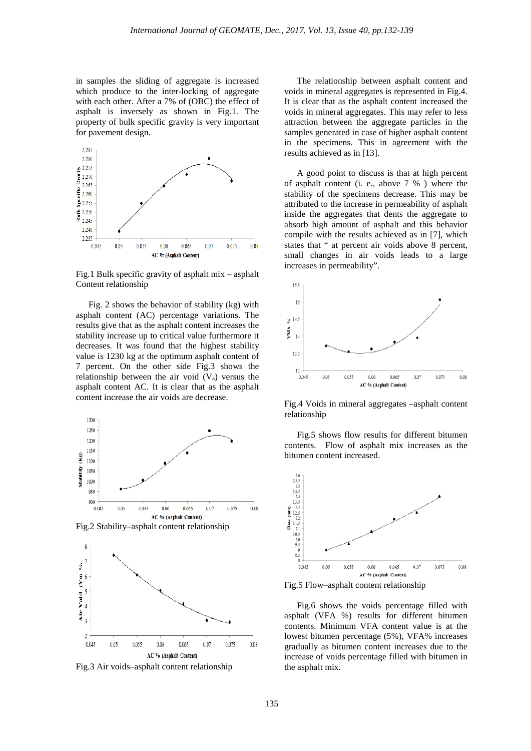in samples the sliding of aggregate is increased which produce to the inter-locking of aggregate with each other. After a 7% of (OBC) the effect of asphalt is inversely as shown in Fig.1. The property of bulk specific gravity is very important for pavement design.



Fig.1 Bulk specific gravity of asphalt mix – asphalt Content relationship

Fig. 2 shows the behavior of stability (kg) with asphalt content (AC) percentage variations. The results give that as the asphalt content increases the stability increase up to critical value furthermore it decreases. It was found that the highest stability value is 1230 kg at the optimum asphalt content of 7 percent. On the other side Fig.3 shows the relationship between the air void  $(V_a)$  versus the asphalt content AC. It is clear that as the asphalt content increase the air voids are decrease.





Fig.3 Air voids–asphalt content relationship

The relationship between asphalt content and voids in mineral aggregates is represented in Fig.4. It is clear that as the asphalt content increased the voids in mineral aggregates. This may refer to less attraction between the aggregate particles in the samples generated in case of higher asphalt content in the specimens. This in agreement with the results achieved as in [13].

A good point to discuss is that at high percent of asphalt content (i. e., above 7 % ) where the stability of the specimens decrease. This may be attributed to the increase in permeability of asphalt inside the aggregates that dents the aggregate to absorb high amount of asphalt and this behavior compile with the results achieved as in [7], which states that " at percent air voids above 8 percent, small changes in air voids leads to a large increases in permeability".



Fig.4 Voids in mineral aggregates –asphalt content relationship

Fig.5 shows flow results for different bitumen contents. Flow of asphalt mix increases as the bitumen content increased.



Fig.5 Flow–asphalt content relationship

Fig.6 shows the voids percentage filled with asphalt (VFA %) results for different bitumen contents. Minimum VFA content value is at the lowest bitumen percentage (5%), VFA% increases gradually as bitumen content increases due to the increase of voids percentage filled with bitumen in the asphalt mix.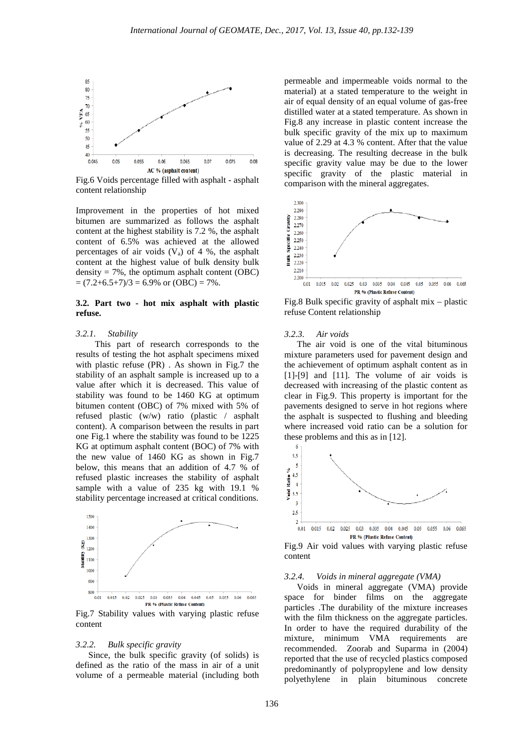

Fig.6 Voids percentage filled with asphalt - asphalt content relationship

Improvement in the properties of hot mixed bitumen are summarized as follows the asphalt content at the highest stability is 7.2 %, the asphalt content of 6.5% was achieved at the allowed percentages of air voids  $(V_a)$  of 4 %, the asphalt content at the highest value of bulk density bulk density  $= 7\%$ , the optimum asphalt content (OBC)  $=(7.2+6.5+7)/3 = 6.9\%$  or  $(OBC) = 7\%$ .

## **3.2. Part two - hot mix asphalt with plastic refuse.**

## *3.2.1. Stability*

This part of research corresponds to the results of testing the hot asphalt specimens mixed with plastic refuse (PR) . As shown in Fig.7 the stability of an asphalt sample is increased up to a value after which it is decreased. This value of stability was found to be 1460 KG at optimum bitumen content (OBC) of 7% mixed with 5% of refused plastic (w/w) ratio (plastic / asphalt content). A comparison between the results in part one Fig.1 where the stability was found to be 1225 KG at optimum asphalt content (BOC) of 7% with the new value of 1460 KG as shown in Fig.7 below, this means that an addition of 4.7 % of refused plastic increases the stability of asphalt sample with a value of 235 kg with 19.1 % stability percentage increased at critical conditions.



Fig.7 Stability values with varying plastic refuse content

#### *3.2.2. Bulk specific gravity*

Since, the bulk specific gravity (of solids) is defined as the ratio of the mass in air of a unit volume of a permeable material (including both

permeable and impermeable voids normal to the material) at a stated temperature to the weight in air of equal density of an equal volume of gas-free distilled water at a stated temperature. As shown in Fig.8 any increase in plastic content increase the bulk specific gravity of the mix up to maximum value of 2.29 at 4.3 % content. After that the value is decreasing. The resulting decrease in the bulk specific gravity value may be due to the lower specific gravity of the plastic material in comparison with the mineral aggregates.



Fig.8 Bulk specific gravity of asphalt mix – plastic refuse Content relationship

#### *3.2.3. Air voids*

The air void is one of the vital bituminous mixture parameters used for pavement design and the achievement of optimum asphalt content as in [1]-[9] and [11]. The volume of air voids is decreased with increasing of the plastic content as clear in Fig.9. This property is important for the pavements designed to serve in hot regions where the asphalt is suspected to flushing and bleeding where increased void ratio can be a solution for these problems and this as in [12].



Fig.9 Air void values with varying plastic refuse content

# *3.2.4. Voids in mineral aggregate (VMA)*

Voids in mineral aggregate (VMA) provide space for binder films on the aggregate particles .The durability of the mixture increases with the film thickness on the aggregate particles. In order to have the required durability of the mixture, minimum VMA requirements are recommended. Zoorab and Suparma in (2004) reported that the use of recycled plastics composed predominantly of polypropylene and low density polyethylene in plain bituminous concrete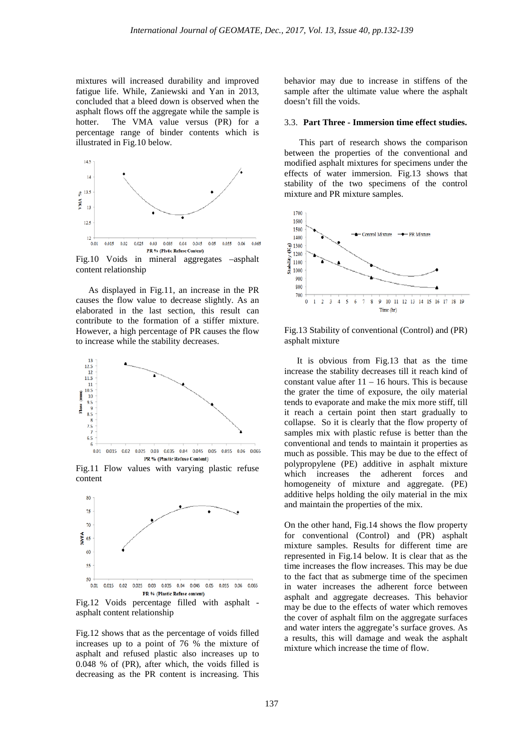mixtures will increased durability and improved fatigue life. While, Zaniewski and Yan in 2013, concluded that a bleed down is observed when the asphalt flows off the aggregate while the sample is hotter. The VMA value versus (PR) for a percentage range of binder contents which is illustrated in Fig.10 below.



Fig.10 Voids in mineral aggregates –asphalt content relationship

As displayed in Fig.11, an increase in the PR causes the flow value to decrease slightly. As an elaborated in the last section, this result can contribute to the formation of a stiffer mixture. However, a high percentage of PR causes the flow to increase while the stability decreases.



Fig.11 Flow values with varying plastic refuse content



Fig.12 Voids percentage filled with asphalt asphalt content relationship

Fig.12 shows that as the percentage of voids filled increases up to a point of 76 % the mixture of asphalt and refused plastic also increases up to 0.048 % of (PR), after which, the voids filled is decreasing as the PR content is increasing. This behavior may due to increase in stiffens of the sample after the ultimate value where the asphalt doesn't fill the voids.

#### 3.3. **Part Three - Immersion time effect studies.**

This part of research shows the comparison between the properties of the conventional and modified asphalt mixtures for specimens under the effects of water immersion. Fig.13 shows that stability of the two specimens of the control mixture and PR mixture samples.



Fig.13 Stability of conventional (Control) and (PR) asphalt mixture

It is obvious from Fig.13 that as the time increase the stability decreases till it reach kind of constant value after  $11 - 16$  hours. This is because the grater the time of exposure, the oily material tends to evaporate and make the mix more stiff, till it reach a certain point then start gradually to collapse. So it is clearly that the flow property of samples mix with plastic refuse is better than the conventional and tends to maintain it properties as much as possible. This may be due to the effect of polypropylene (PE) additive in asphalt mixture which increases the adherent forces and homogeneity of mixture and aggregate. (PE) additive helps holding the oily material in the mix and maintain the properties of the mix.

On the other hand, Fig.14 shows the flow property for conventional (Control) and (PR) asphalt mixture samples. Results for different time are represented in Fig.14 below. It is clear that as the time increases the flow increases. This may be due to the fact that as submerge time of the specimen in water increases the adherent force between asphalt and aggregate decreases. This behavior may be due to the effects of water which removes the cover of asphalt film on the aggregate surfaces and water inters the aggregate's surface groves. As a results, this will damage and weak the asphalt mixture which increase the time of flow.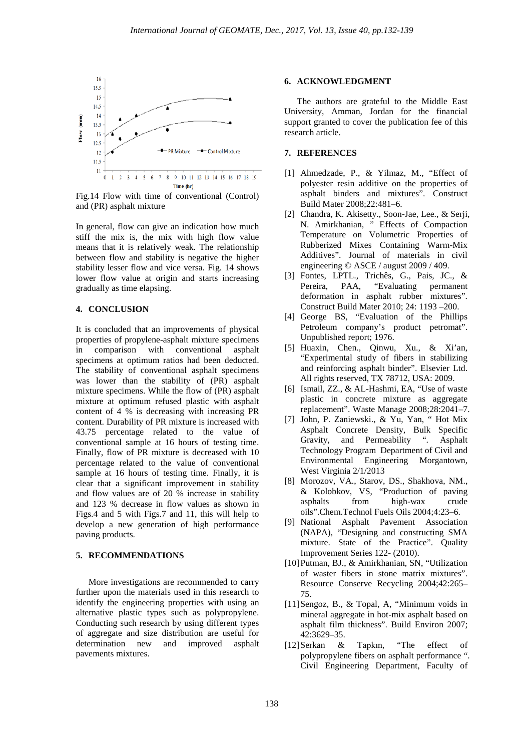

Fig.14 Flow with time of conventional (Control) and (PR) asphalt mixture

In general, flow can give an indication how much stiff the mix is, the mix with high flow value means that it is relatively weak. The relationship between flow and stability is negative the higher stability lesser flow and vice versa. Fig. 14 shows lower flow value at origin and starts increasing gradually as time elapsing.

# **4. CONCLUSION**

It is concluded that an improvements of physical properties of propylene-asphalt mixture specimens in comparison with conventional asphalt specimens at optimum ratios had been deducted. The stability of conventional asphalt specimens was lower than the stability of (PR) asphalt mixture specimens. While the flow of (PR) asphalt mixture at optimum refused plastic with asphalt content of 4 % is decreasing with increasing PR content. Durability of PR mixture is increased with 43.75 percentage related to the value of conventional sample at 16 hours of testing time. Finally, flow of PR mixture is decreased with 10 percentage related to the value of conventional sample at 16 hours of testing time. Finally, it is clear that a significant improvement in stability and flow values are of 20 % increase in stability and 123 % decrease in flow values as shown in Figs.4 and 5 with Figs.7 and 11, this will help to develop a new generation of high performance paving products.

## **5. RECOMMENDATIONS**

More investigations are recommended to carry further upon the materials used in this research to identify the engineering properties with using an alternative plastic types such as polypropylene. Conducting such research by using different types of aggregate and size distribution are useful for determination new and improved asphalt pavements mixtures.

#### **6. ACKNOWLEDGMENT**

The authors are grateful to the Middle East University, Amman, Jordan for the financial support granted to cover the publication fee of this research article.

# **7. REFERENCES**

- [1] Ahmedzade, P., & Yilmaz, M., "Effect of polyester resin additive on the properties of asphalt binders and mixtures". Construct Build Mater 2008;22:481–6.
- [2] Chandra, K. Akisetty., Soon-Jae, Lee., & Serji, N. Amirkhanian, " Effects of Compaction Temperature on Volumetric Properties of Rubberized Mixes Containing Warm-Mix Additives". Journal of materials in civil engineering © ASCE / august 2009 / 409.
- [3] Fontes, LPTL., Trichês, G., Pais, JC., & Pereira, PAA, "Evaluating permanent deformation in asphalt rubber mixtures". Construct Build Mater 2010; 24: 1193 –200.
- [4] George BS, "Evaluation of the Phillips Petroleum company's product petromat". Unpublished report; 1976.
- [5] Huaxin, Chen., Qinwu, Xu., & Xi'an, "Experimental study of fibers in stabilizing and reinforcing asphalt binder". Elsevier Ltd. All rights reserved, TX 78712, USA: 2009.
- [6] Ismail, ZZ., & AL-Hashmi, EA, "Use of waste plastic in concrete mixture as aggregate replacement". Waste Manage 2008;28:2041–7.
- [7] John, P. Zaniewski., & Yu, Yan, " Hot Mix Asphalt Concrete Density, Bulk Specific Gravity, and Permeability ". Asphalt Technology Program Department of Civil and Environmental Engineering Morgantown, West Virginia 2/1/2013
- [8] Morozov, VA., Starov, DS., Shakhova, NM., & Kolobkov, VS, "Production of paving asphalts from high-wax crude oils".Chem.Technol Fuels Oils 2004;4:23–6.
- [9] National Asphalt Pavement Association (NAPA), "Designing and constructing SMA mixture. State of the Practice". Quality Improvement Series 122- (2010).
- [10]Putman, BJ., & Amirkhanian, SN, "Utilization of waster fibers in stone matrix mixtures". Resource Conserve Recycling 2004;42:265– 75.
- [11]Sengoz, B., & Topal, A, "Minimum voids in mineral aggregate in hot-mix asphalt based on asphalt film thickness". Build Environ 2007; 42:3629–35.
- [12]Serkan & Tapkın, "The effect of polypropylene fibers on asphalt performance ". Civil Engineering Department, Faculty of